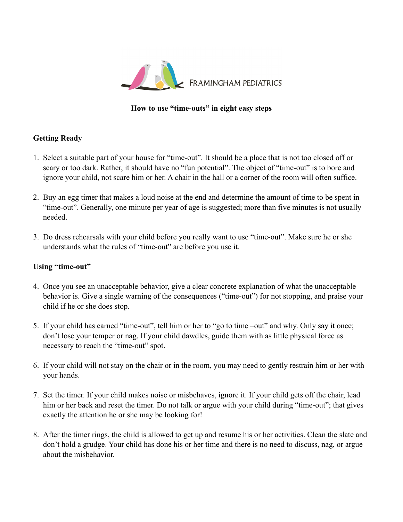

## **How to use "time-outs" in eight easy steps**

## **Getting Ready**

- 1. Select a suitable part of your house for "time-out". It should be a place that is not too closed off or scary or too dark. Rather, it should have no "fun potential". The object of "time-out" is to bore and ignore your child, not scare him or her. A chair in the hall or a corner of the room will often suffice.
- 2. Buy an egg timer that makes a loud noise at the end and determine the amount of time to be spent in "time-out". Generally, one minute per year of age is suggested; more than five minutes is not usually needed.
- 3. Do dress rehearsals with your child before you really want to use "time-out". Make sure he or she understands what the rules of "time-out" are before you use it.

## **Using "time-out"**

- 4. Once you see an unacceptable behavior, give a clear concrete explanation of what the unacceptable behavior is. Give a single warning of the consequences ("time-out") for not stopping, and praise your child if he or she does stop.
- 5. If your child has earned "time-out", tell him or her to "go to time –out" and why. Only say it once; don't lose your temper or nag. If your child dawdles, guide them with as little physical force as necessary to reach the "time-out" spot.
- 6. If your child will not stay on the chair or in the room, you may need to gently restrain him or her with your hands.
- 7. Set the timer. If your child makes noise or misbehaves, ignore it. If your child gets off the chair, lead him or her back and reset the timer. Do not talk or argue with your child during "time-out"; that gives exactly the attention he or she may be looking for!
- 8. After the timer rings, the child is allowed to get up and resume his or her activities. Clean the slate and don't hold a grudge. Your child has done his or her time and there is no need to discuss, nag, or argue about the misbehavior.